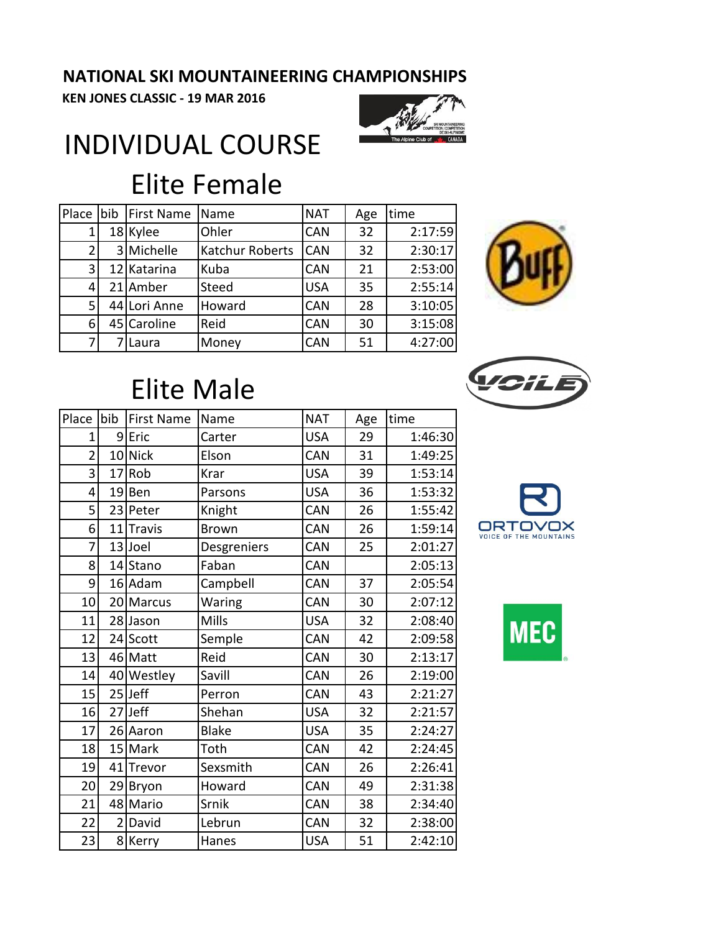#### **NATIONAL SKI MOUNTAINEERING CHAMPIONSHIPS**

**KEN JONES CLASSIC - 19 MAR 2016**



## INDIVIDUAL COURSE Elite Female

| Place          | bib First Name | Name                   | <b>NAT</b> | Age | time    |
|----------------|----------------|------------------------|------------|-----|---------|
| 1              | 18 Kylee       | Ohler                  | <b>CAN</b> | 32  | 2:17:59 |
| $\overline{2}$ | 3 Michelle     | <b>Katchur Roberts</b> | <b>CAN</b> | 32  | 2:30:17 |
| 3              | 12 Katarina    | Kuba                   | <b>CAN</b> | 21  | 2:53:00 |
| 4'             | 21 Amber       | Steed                  | <b>USA</b> | 35  | 2:55:14 |
| 5              | 44 Lori Anne   | Howard                 | <b>CAN</b> | 28  | 3:10:05 |
| 6              | 45 Caroline    | Reid                   | <b>CAN</b> | 30  | 3:15:08 |
| 71             | Laura          | Money                  | <b>CAN</b> | 51  | 4:27:00 |





### Elite Male

| Place          | bib            | <b>First Name</b> | Name         | <b>NAT</b> | Age | time    |
|----------------|----------------|-------------------|--------------|------------|-----|---------|
| 1              |                | 9Eric             | Carter       | <b>USA</b> | 29  | 1:46:30 |
| $\overline{2}$ |                | 10 Nick           | Elson        | CAN        | 31  | 1:49:25 |
| 3              |                | 17 Rob            | Krar         | <b>USA</b> | 39  | 1:53:14 |
| 4              |                | 19Ben             | Parsons      | <b>USA</b> | 36  | 1:53:32 |
| 5              |                | 23 Peter          | Knight       | CAN        | 26  | 1:55:42 |
| 6              | 11             | <b>Travis</b>     | <b>Brown</b> | CAN        | 26  | 1:59:14 |
| 7              |                | 13 Joel           | Desgreniers  | CAN        | 25  | 2:01:27 |
| 8              |                | 14 Stano          | Faban        | CAN        |     | 2:05:13 |
| 9              |                | 16 Adam           | Campbell     | CAN        | 37  | 2:05:54 |
| 10             |                | 20 Marcus         | Waring       | CAN        | 30  | 2:07:12 |
| 11             |                | 28 Jason          | Mills        | <b>USA</b> | 32  | 2:08:40 |
| 12             |                | 24 Scott          | Semple       | CAN        | 42  | 2:09:58 |
| 13             |                | 46 Matt           | Reid         | CAN        | 30  | 2:13:17 |
| 14             |                | 40 Westley        | Savill       | <b>CAN</b> | 26  | 2:19:00 |
| 15             |                | 25Jeff            | Perron       | CAN        | 43  | 2:21:27 |
| 16             |                | 27Jeff            | Shehan       | <b>USA</b> | 32  | 2:21:57 |
| 17             |                | 26 Aaron          | <b>Blake</b> | <b>USA</b> | 35  | 2:24:27 |
| 18             |                | 15 Mark           | Toth         | CAN        | 42  | 2:24:45 |
| 19             | 41             | Trevor            | Sexsmith     | CAN        | 26  | 2:26:41 |
| 20             |                | 29 Bryon          | Howard       | CAN        | 49  | 2:31:38 |
| 21             |                | 48 Mario          | Srnik        | CAN        | 38  | 2:34:40 |
| 22             | $\overline{2}$ | David             | Lebrun       | CAN        | 32  | 2:38:00 |
| 23             |                | 8 Kerry           | Hanes        | <b>USA</b> | 51  | 2:42:10 |



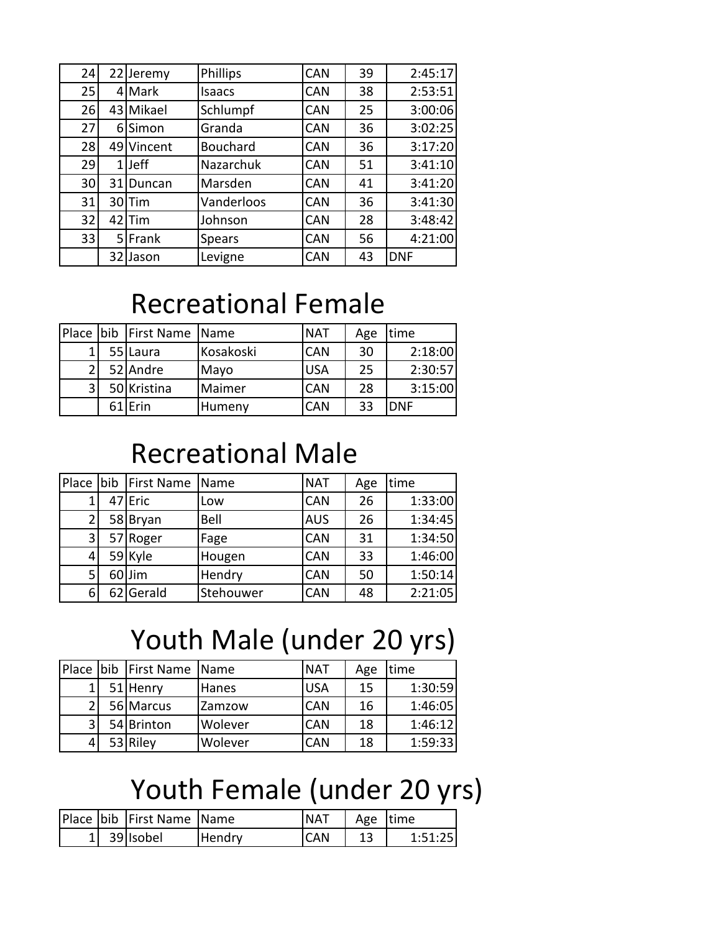| 24 |    | 22 Jeremy  | Phillips        | <b>CAN</b> | 39 | 2:45:17    |
|----|----|------------|-----------------|------------|----|------------|
| 25 |    | 4 Mark     | <b>Isaacs</b>   | <b>CAN</b> | 38 | 2:53:51    |
| 26 |    | 43 Mikael  | Schlumpf        | <b>CAN</b> | 25 | 3:00:06    |
| 27 | 6  | lSimon     | Granda          | <b>CAN</b> | 36 | 3:02:25    |
| 28 |    | 49 Vincent | <b>Bouchard</b> | <b>CAN</b> | 36 | 3:17:20    |
| 29 |    | 1lJeff     | Nazarchuk       | <b>CAN</b> | 51 | 3:41:10    |
| 30 | 31 | Duncan     | Marsden         | <b>CAN</b> | 41 | 3:41:20    |
| 31 |    | 30 Tim     | Vanderloos      | <b>CAN</b> | 36 | 3:41:30    |
| 32 |    | $42$ Tim   | Johnson         | <b>CAN</b> | 28 | 3:48:42    |
| 33 |    | 5 Frank    | <b>Spears</b>   | <b>CAN</b> | 56 | 4:21:00    |
|    | 32 | l Jason    | Levigne         | <b>CAN</b> | 43 | <b>DNF</b> |

#### Recreational Female

|              | Place bib First Name Name |           | <b>NAT</b> | Age | time       |
|--------------|---------------------------|-----------|------------|-----|------------|
|              | 55 Laura                  | Kosakoski | <b>CAN</b> | 30  | 2:18:00    |
| <sup>1</sup> | 52 Andre                  | Mayo      | <b>USA</b> | 25  | 2:30:57    |
| 3            | 50 Kristina               | Maimer    | <b>CAN</b> | 28  | 3:15:00    |
|              | 61 Erin                   | Humeny    | <b>CAN</b> | 33  | <b>DNF</b> |

#### Recreational Male

| Place<br>bib First Name<br><b>NAT</b><br>time<br>Name<br>Age<br><b>CAN</b><br>47 Eric<br>26<br>1 <sub>1</sub><br>Low<br><b>AUS</b><br>Bell<br>$\overline{2}$<br>58 Bryan<br>26<br><b>CAN</b><br>3 <sup>1</sup><br>57 Roger<br>31<br>Fage<br>59 Kyle<br><b>CAN</b><br>33<br>4 |  |        |  |         |
|------------------------------------------------------------------------------------------------------------------------------------------------------------------------------------------------------------------------------------------------------------------------------|--|--------|--|---------|
|                                                                                                                                                                                                                                                                              |  |        |  |         |
|                                                                                                                                                                                                                                                                              |  |        |  | 1:33:00 |
|                                                                                                                                                                                                                                                                              |  |        |  | 1:34:45 |
|                                                                                                                                                                                                                                                                              |  |        |  | 1:34:50 |
|                                                                                                                                                                                                                                                                              |  | Hougen |  | 1:46:00 |
| Hendry<br>5 <sup>1</sup><br>60Jim<br><b>CAN</b><br>50                                                                                                                                                                                                                        |  |        |  | 1:50:14 |
| 6 <sup>1</sup><br>62 Gerald<br>Stehouwer<br><b>CAN</b><br>48                                                                                                                                                                                                                 |  |        |  | 2:21:05 |

# Youth Male (under 20 yrs)

|   | Place bib First Name Name |         | <b>NAT</b> | Age | time    |
|---|---------------------------|---------|------------|-----|---------|
| 1 | 51 Henry                  | Hanes   | <b>USA</b> | 15  | 1:30:59 |
| 2 | 56 Marcus                 | Zamzow  | <b>CAN</b> | 16  | 1:46:05 |
| 3 | 54 Brinton                | Wolever | <b>CAN</b> | 18  | 1:46:12 |
|   | 53 Riley                  | Wolever | <b>CAN</b> | 18  | 1:59:33 |

### Youth Female (under 20 yrs)

|  | Place bib First Name Name |        | <b>NAT</b>  | Age time |         |
|--|---------------------------|--------|-------------|----------|---------|
|  | $1$ 39 Isobel             | Hendry | <b>ICAN</b> |          | 1:51:25 |